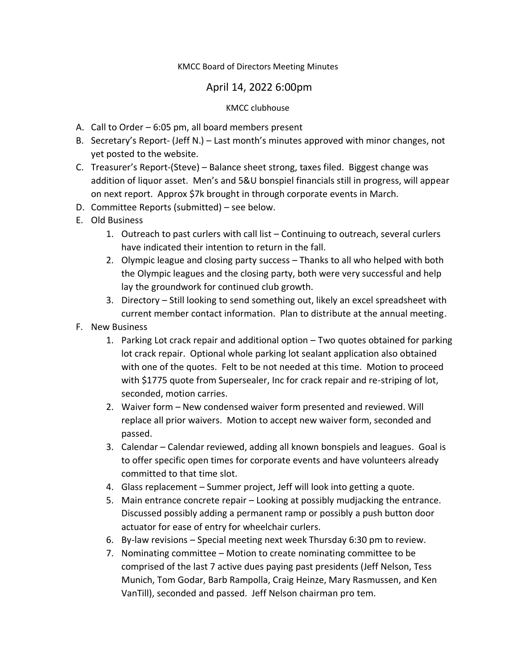# KMCC Board of Directors Meeting Minutes

# April 14, 2022 6:00pm

### KMCC clubhouse

- A. Call to Order 6:05 pm, all board members present
- B. Secretary's Report- (Jeff N.) Last month's minutes approved with minor changes, not yet posted to the website.
- C. Treasurer's Report-(Steve) Balance sheet strong, taxes filed. Biggest change was addition of liquor asset. Men's and 5&U bonspiel financials still in progress, will appear on next report. Approx \$7k brought in through corporate events in March.
- D. Committee Reports (submitted) see below.
- E. Old Business
	- 1. Outreach to past curlers with call list Continuing to outreach, several curlers have indicated their intention to return in the fall.
	- 2. Olympic league and closing party success Thanks to all who helped with both the Olympic leagues and the closing party, both were very successful and help lay the groundwork for continued club growth.
	- 3. Directory Still looking to send something out, likely an excel spreadsheet with current member contact information. Plan to distribute at the annual meeting.
- F. New Business
	- 1. Parking Lot crack repair and additional option Two quotes obtained for parking lot crack repair. Optional whole parking lot sealant application also obtained with one of the quotes. Felt to be not needed at this time. Motion to proceed with \$1775 quote from Supersealer, Inc for crack repair and re-striping of lot, seconded, motion carries.
	- 2. Waiver form New condensed waiver form presented and reviewed. Will replace all prior waivers. Motion to accept new waiver form, seconded and passed.
	- 3. Calendar Calendar reviewed, adding all known bonspiels and leagues. Goal is to offer specific open times for corporate events and have volunteers already committed to that time slot.
	- 4. Glass replacement Summer project, Jeff will look into getting a quote.
	- 5. Main entrance concrete repair Looking at possibly mudjacking the entrance. Discussed possibly adding a permanent ramp or possibly a push button door actuator for ease of entry for wheelchair curlers.
	- 6. By-law revisions Special meeting next week Thursday 6:30 pm to review.
	- 7. Nominating committee Motion to create nominating committee to be comprised of the last 7 active dues paying past presidents (Jeff Nelson, Tess Munich, Tom Godar, Barb Rampolla, Craig Heinze, Mary Rasmussen, and Ken VanTill), seconded and passed. Jeff Nelson chairman pro tem.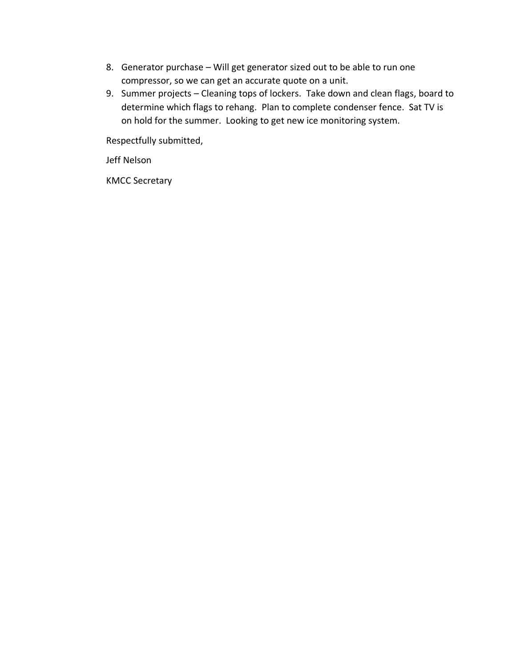- 8. Generator purchase Will get generator sized out to be able to run one compressor, so we can get an accurate quote on a unit.
- 9. Summer projects Cleaning tops of lockers. Take down and clean flags, board to determine which flags to rehang. Plan to complete condenser fence. Sat TV is on hold for the summer. Looking to get new ice monitoring system.

Respectfully submitted,

Jeff Nelson

KMCC Secretary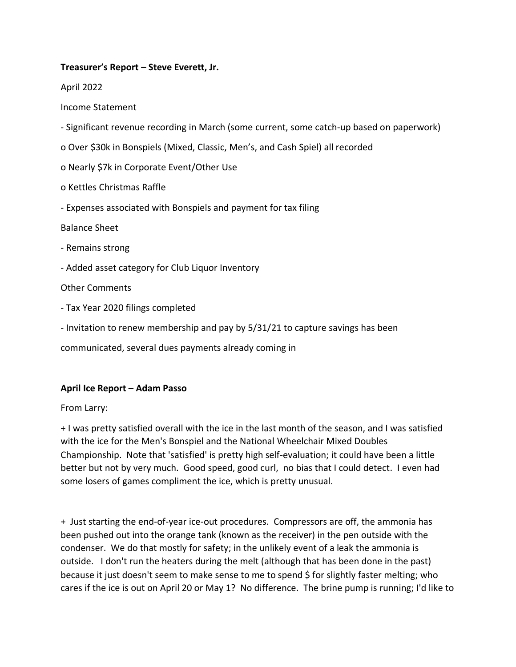# **Treasurer's Report – Steve Everett, Jr.**

April 2022

Income Statement

- Significant revenue recording in March (some current, some catch-up based on paperwork)
- o Over \$30k in Bonspiels (Mixed, Classic, Men's, and Cash Spiel) all recorded
- o Nearly \$7k in Corporate Event/Other Use
- o Kettles Christmas Raffle
- Expenses associated with Bonspiels and payment for tax filing

Balance Sheet

- Remains strong
- Added asset category for Club Liquor Inventory

Other Comments

- Tax Year 2020 filings completed
- Invitation to renew membership and pay by 5/31/21 to capture savings has been

communicated, several dues payments already coming in

# **April Ice Report – Adam Passo**

# From Larry:

+ I was pretty satisfied overall with the ice in the last month of the season, and I was satisfied with the ice for the Men's Bonspiel and the National Wheelchair Mixed Doubles Championship. Note that 'satisfied' is pretty high self-evaluation; it could have been a little better but not by very much. Good speed, good curl, no bias that I could detect. I even had some losers of games compliment the ice, which is pretty unusual.

+ Just starting the end-of-year ice-out procedures. Compressors are off, the ammonia has been pushed out into the orange tank (known as the receiver) in the pen outside with the condenser. We do that mostly for safety; in the unlikely event of a leak the ammonia is outside. I don't run the heaters during the melt (although that has been done in the past) because it just doesn't seem to make sense to me to spend \$ for slightly faster melting; who cares if the ice is out on April 20 or May 1? No difference. The brine pump is running; I'd like to